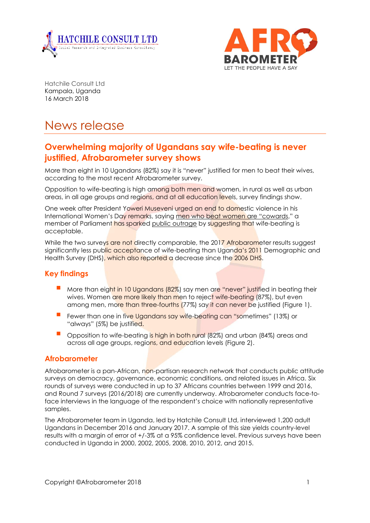



Hatchile Consult Ltd Kampala, Uganda 16 March 2018

# News release

# **Overwhelming majority of Ugandans say wife-beating is never justified, Afrobarometer survey shows**

More than eight in 10 Ugandans (82%) say it is "never" justified for men to beat their wives, according to the most recent Afrobarometer survey.

Opposition to wife-beating is high among both men and women, in rural as well as urban areas, in all age groups and regions, and at all education levels, survey findings show.

One week after President Yoweri Museveni urged an end to domestic violence in his International Women's Day remarks, saying men who [beat women are](https://www.independent.co.ug/museveni-women-are-the-base-of-society/) "cowards," a member of Parliament has sparked [public outrage](https://www.voanews.com/a/outrage-after-ugandan-mp-advocates-wife-beating/4299838.html) by suggesting that wife-beating is acceptable.

While the two surveys are not directly comparable, the 2017 Afrobarometer results suggest significantly less public acceptance of wife-beating than Uganda's 2011 Demographic and Health Survey (DHS), which also reported a decrease since the 2006 DHS.

### **Key findings**

- More than eight in 10 Ugandans (82%) say men are "never" justified in beating their wives. Women are more likely than men to reject wife-beating (87%), but even among men, more than three-fourths (77%) say it can never be justified (Figure 1).
- Fewer than one in five Ugandans say wife-beating can "sometimes" (13%) or "always" (5%) be justified.
- Opposition to wife-beating is high in both rural (82%) and urban (84%) areas and across all age groups, regions, and education levels (Figure 2).

#### **Afrobarometer**

Afrobarometer is a pan-African, non-partisan research network that conducts public attitude surveys on democracy, governance, economic conditions, and related issues in Africa. Six rounds of surveys were conducted in up to 37 Africans countries between 1999 and 2016, and Round 7 surveys (2016/2018) are currently underway. Afrobarometer conducts face-toface interviews in the language of the respondent's choice with nationally representative samples.

The Afrobarometer team in Uganda, led by Hatchile Consult Ltd, interviewed 1,200 adult Ugandans in December 2016 and January 2017. A sample of this size yields country-level results with a margin of error of +/-3% at a 95% confidence level. Previous surveys have been conducted in Uganda in 2000, 2002, 2005, 2008, 2010, 2012, and 2015.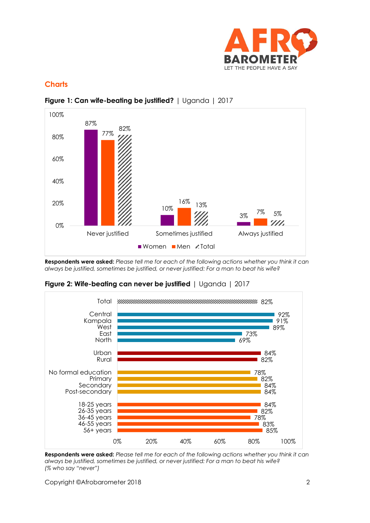

# **Charts**



## **Figure 1: Can wife-beating be justified?** | Uganda | 2017

**Respondents were asked:** *Please tell me for each of the following actions whether you think it can always be justified, sometimes be justified, or never justified: For a man to beat his wife?*





**Respondents were asked:** *Please tell me for each of the following actions whether you think it can always be justified, sometimes be justified, or never justified: For a man to beat his wife? (% who say "never")*